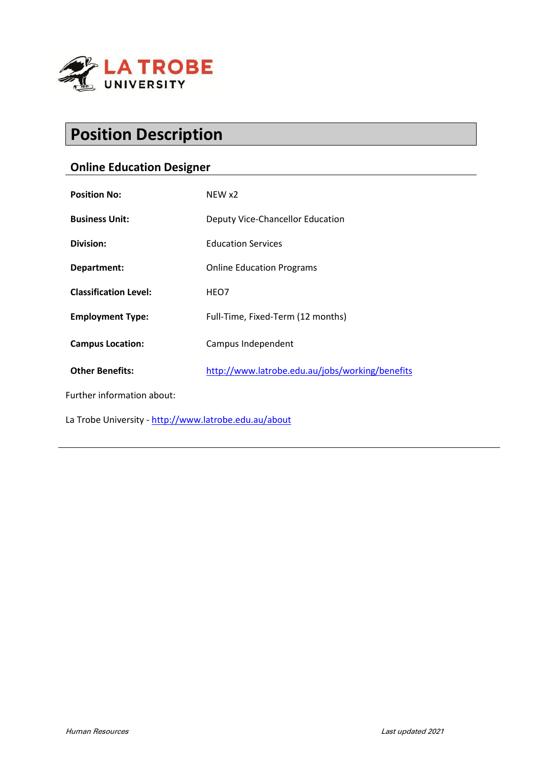

# **Position Description**

# **Online Education Designer**

| <b>Position No:</b>                                   | NEW x2                                          |
|-------------------------------------------------------|-------------------------------------------------|
| <b>Business Unit:</b>                                 | <b>Deputy Vice-Chancellor Education</b>         |
| Division:                                             | <b>Education Services</b>                       |
| Department:                                           | <b>Online Education Programs</b>                |
| <b>Classification Level:</b>                          | HEO7                                            |
| <b>Employment Type:</b>                               | Full-Time, Fixed-Term (12 months)               |
| <b>Campus Location:</b>                               | Campus Independent                              |
| <b>Other Benefits:</b>                                | http://www.latrobe.edu.au/jobs/working/benefits |
| Further information about:                            |                                                 |
| La Trobe University - http://www.latrobe.edu.au/about |                                                 |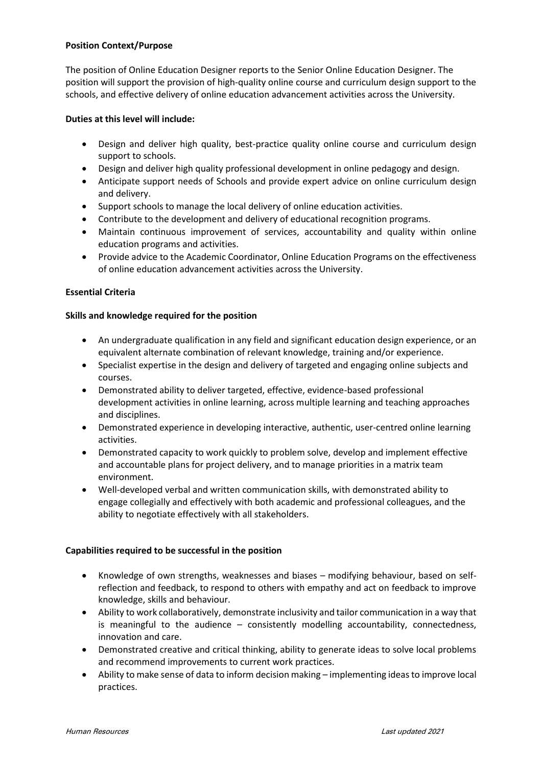#### **Position Context/Purpose**

The position of Online Education Designer reports to the Senior Online Education Designer. The position will support the provision of high-quality online course and curriculum design support to the schools, and effective delivery of online education advancement activities across the University.

# **Duties at this level will include:**

- Design and deliver high quality, best-practice quality online course and curriculum design support to schools.
- Design and deliver high quality professional development in online pedagogy and design.
- Anticipate support needs of Schools and provide expert advice on online curriculum design and delivery.
- Support schools to manage the local delivery of online education activities.
- Contribute to the development and delivery of educational recognition programs.
- Maintain continuous improvement of services, accountability and quality within online education programs and activities.
- Provide advice to the Academic Coordinator, Online Education Programs on the effectiveness of online education advancement activities across the University.

# **Essential Criteria**

# **Skills and knowledge required for the position**

- An undergraduate qualification in any field and significant education design experience, or an equivalent alternate combination of relevant knowledge, training and/or experience.
- Specialist expertise in the design and delivery of targeted and engaging online subjects and courses.
- Demonstrated ability to deliver targeted, effective, evidence-based professional development activities in online learning, across multiple learning and teaching approaches and disciplines.
- Demonstrated experience in developing interactive, authentic, user-centred online learning activities.
- Demonstrated capacity to work quickly to problem solve, develop and implement effective and accountable plans for project delivery, and to manage priorities in a matrix team environment.
- Well-developed verbal and written communication skills, with demonstrated ability to engage collegially and effectively with both academic and professional colleagues, and the ability to negotiate effectively with all stakeholders.

#### **Capabilities required to be successful in the position**

- Knowledge of own strengths, weaknesses and biases modifying behaviour, based on selfreflection and feedback, to respond to others with empathy and act on feedback to improve knowledge, skills and behaviour.
- Ability to work collaboratively, demonstrate inclusivity and tailor communication in a way that is meaningful to the audience – consistently modelling accountability, connectedness, innovation and care.
- Demonstrated creative and critical thinking, ability to generate ideas to solve local problems and recommend improvements to current work practices.
- Ability to make sense of data to inform decision making implementing ideas to improve local practices.